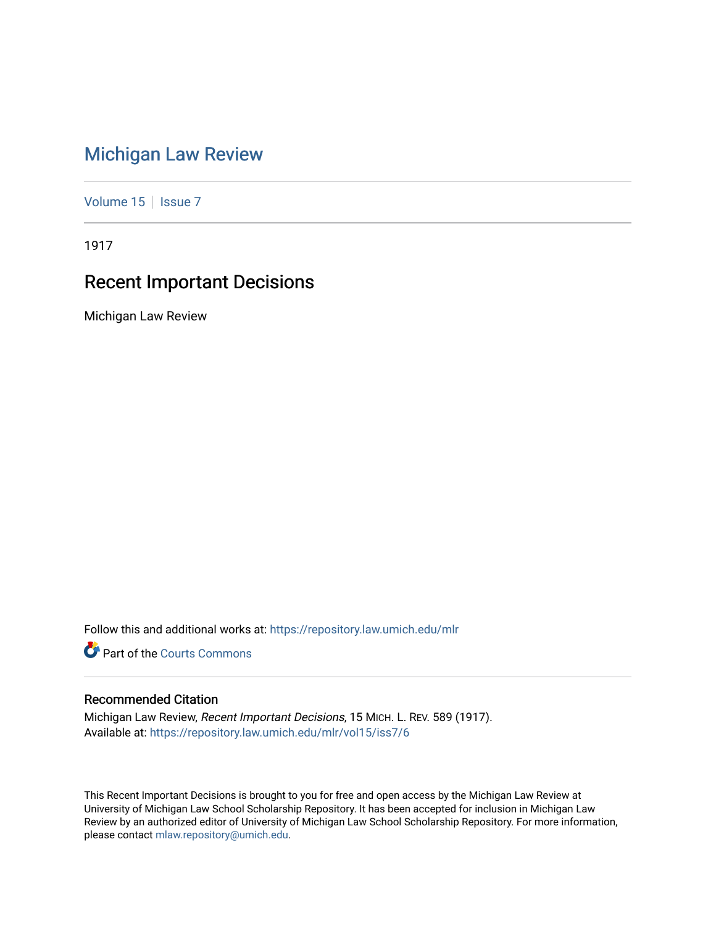## [Michigan Law Review](https://repository.law.umich.edu/mlr)

[Volume 15](https://repository.law.umich.edu/mlr/vol15) | [Issue 7](https://repository.law.umich.edu/mlr/vol15/iss7)

1917

## Recent Important Decisions

Michigan Law Review

Follow this and additional works at: [https://repository.law.umich.edu/mlr](https://repository.law.umich.edu/mlr?utm_source=repository.law.umich.edu%2Fmlr%2Fvol15%2Fiss7%2F6&utm_medium=PDF&utm_campaign=PDFCoverPages) 

**Part of the Courts Commons** 

## Recommended Citation

Michigan Law Review, Recent Important Decisions, 15 MICH. L. REV. 589 (1917). Available at: [https://repository.law.umich.edu/mlr/vol15/iss7/6](https://repository.law.umich.edu/mlr/vol15/iss7/6?utm_source=repository.law.umich.edu%2Fmlr%2Fvol15%2Fiss7%2F6&utm_medium=PDF&utm_campaign=PDFCoverPages)

This Recent Important Decisions is brought to you for free and open access by the Michigan Law Review at University of Michigan Law School Scholarship Repository. It has been accepted for inclusion in Michigan Law Review by an authorized editor of University of Michigan Law School Scholarship Repository. For more information, please contact [mlaw.repository@umich.edu.](mailto:mlaw.repository@umich.edu)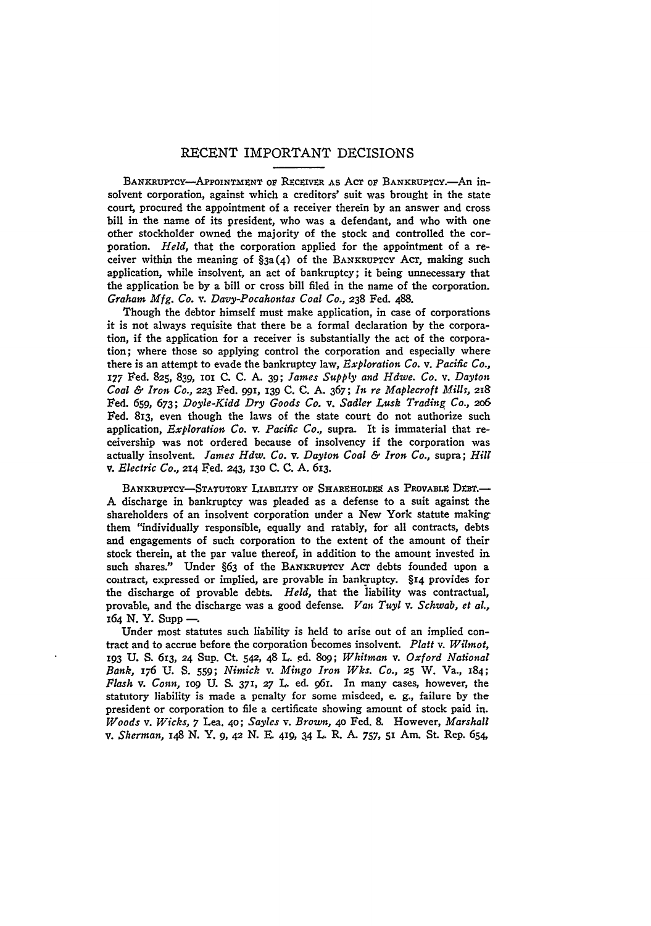## RECENT IMPORTANT DECISIONS

BANKRUPTCY-APPOINTMENT OF RECEIVER AS ACT OF BANKRUPTCY.- An insolvent corporation, against which a creditors' suit was brought in the state court, procured the appointment of a receiver therein by an answer and cross bill in the name of its president, who was a defendant, and who with one other stockholder owned the majority of the stock and controlled the corporation. *Held,* that the corporation applied for the appointment of a receiver within the meaning of  $\S$ 3a(4) of the BANKRUPTCY Acr, making such application, while insolvent, an act of bankruptcy; it being unnecessary that the application be by a bill or cross bill filed in the name of the corporation. *Graham Mfg. Co.* v. *Davy-Pocahontas Coal Co.,* 238 Fed. 488.

Though the debtor himself must make application, in case of corporations it is not always requisite that there be a formal declaration by the corporation, if the application for a receiver is substantially the act of the corporation; where those so applying control the corporation and especially where there is an attempt to evade the bankruptcy law, *Esploration Co.* v. *Pacific Co.,*  177 Fed. 825, 839, 101 C. C. A. 39; *James SupplJ• and Hdwe. Co.* v. *Dayton Coal* & *Iron Co.,* 223 Fed. 991, 139 C. C. A. 367; *In re Maplecroft Mills,* 218 Fed. 659, 673; *Doyle-Kidd Dry Goods Co.* v. *Sadler Lusk Trading Co.,* 200 Fed. 813, even though the laws of the state court do not authorize such application, *Exploration Co.* v. *Pacific Co.,* supra. It is immaterial that receivership was not ordered because of insolvency if the corporation was actually insolvent. *fames Hdw. Co.* v. *Dayton Coal* & *Iron Co.,* supra; *Hill*  v. *Electric Co.*, 214 Fed. 243, 130 C. C. A. 613.

BANKRUPTCY-STATUTORY LIABILITY OF SHAREHOLDER AS PROVABLE DEBT.-A discharge in bankruptcy was pleaded as a defense to a suit against the shareholders of an insolvent corporation under a New York statute making them "individually responsible, equally and ratably, for all contracts, debts and engagements of such corporation to the extent of the amount of their stock therein, at the par value thereof, in addition to the amount invested in such shares." Under §63 of the BANKRUPTCY ACT debts founded upon a contract, expressed or implied, are provable in bankruptcy. §14 provides for the discharge of provable debts. *Held,* that the iiability was contractual, provable, and the discharge was a good defense. *Van Tuyl* v. *Schwab, et al.,*  164 N. Y. Supp -

Under most statutes such liability is held to arise out of an implied contract and to accrue before the corporation becomes insolvent. *Platt* v. *Wilmot,*  193 U. S. 613, *24* Sup. Ct. 542, 48 L. ~d. Sag; *Whitman* v. *Oxford National Bank,* 176 U. S. 559; *Nimick* v. *Mingo Iron Wks. Co.,* 25 W. Va., 184; *Flash* v. *Conn,* 109 U. S. 371, *27* L. ed. g61. In many cases, however, the statutory liability is made a penalty for some misdeed, e. g., failure by the president or corporation to file a certificate showing amount of stock paid in. *Woods v. Wicks, 7 Lea. 40; Sayles v. Brown, 40 Fed. 8. However, Marshall* v. *Sherman*, 148 N. Y. 9, 42 N. E. 419, 34 L. R. A. 757, 51 Am. St. Rep. 654,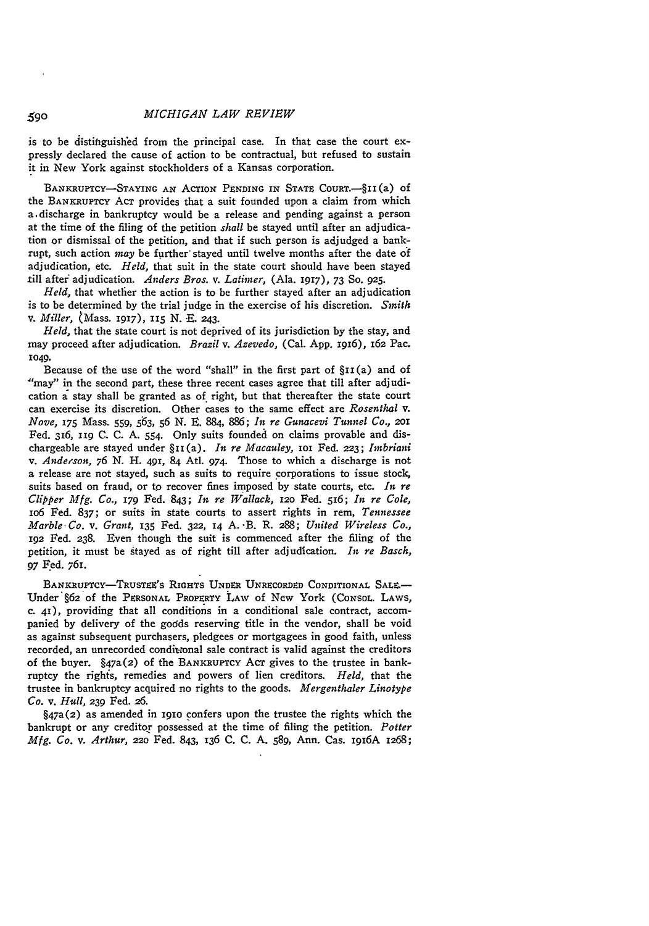is to be distihguished from the principal case. In that case the court expressly declared the cause of action to be contractual, but refused to sustain it in New York against stockholders of a Kansas corporation.

BANKRUPTCY-STAYING AN ACTION PENDING IN STATE COURT.-§11(a) of the BANKRUPTCY ACT provides that a suit founded upon a claim from which a. discharge in bankruptcy would be a release and pending against a person at the time of the filing of the petition *shall* be stayed until after an adjudication or dismissal of the petition, and that if such person is adjudged a bankrupt, such action *may* be further stayed until twelve months after the date of adjudication, etc. *Held*, that suit in the state court should have been stayed .till after adjudication. *Anders Bros.* v. *Latimer,* (Ala. I9I7), 73 So. 925.

*Held,* that whetlier the action is to be further stayed after an adjudication is to be determined by the trial judge in the exercise of his discretion. *Smith*  v. *Miller,* {Mass. I9I7), n5 N. £. 243.

*Held,* that the state court is not deprived of its jurisdiction by the stay, and may proceed after adjudication. *Brazil* v. *Azevedo,* (Cal. App. I9I6), I62 Pac. 1049.

Because of the use of the word "shall" in the first part of  $\S$ II(a) and of "may" in the second part, these three recent cases agree that till after adjudication a stay shall be granted as of right, but that thereafter the state court can exercise its discretion. Other cases to the same effect are *Rosenthal* v. *N ove,* I75 Mass. 559, 503, 56 N. E. 884, 886; In *re Gunacevi Tunnel Co.,* 20I Fed. 316, 119 C. C. A. 554. Only suits founded on claims provable and dischargeable are stayed under §11(a). *In re Macauley*, **IOI Fed. 223**; *Imbriani* v. *Anderson, 76* N. H. 49I, 84 At!. 974. Those to which a discharge is not a release are not stayed, such as suits to require corporations to issue stock, suits based on fraud, or to recover fines imposed by state courts, etc. *In re Clipper Mfg. Co.,* I79 Fed. 843; In *re Wallack,* I20 Fed. 5I6; In *re Cole,*  106 Fed. 837; or suits in state courts to assert rights in rem, *Tennessee Marble· Co.* v. *Grant,* I35 Fed. 322, I4 A. ·B. R. 288; *United Wireless Co.,*  I92 Fed. 238. Even though the suit is commenced after the filing of the petition, it must be stayed as of right till after adjudication. In *re Basch, 97* F:ed. 76I.

BANKRUPTCY-TRUSTEE'S RIGHTS UNDER UNRECORDED CONDITIONAL SALE.-Under §62 of the PERSONAL PROPERTY LAW of New York (Consol. LAWS, c.  $4I$ ), providing that all conditions in a conditional sale contract, accompanied by delivery of the godds reserving title in the vendor, shall be void as against subsequent purchasers, pledgees or mortgagees in good faith, unless recorded, an unrecorded conditional sale contract is valid against the creditors of the buyer.  $\S 47a(2)$  of the BANKRUPTCY ACT gives to the trustee in bankruptcy the rights, remedies and powers of lien creditors. *Held,* that the trustee in bankruptcy acquired no rights to the goods. *Mergenthaler Linotype Co.* v. *Hull,* 239 Fed. 26.

§47a(2) as amended in I9IO confers upon the trustee the rights which the bankrupt or any creditor possessed at the time of filing the petition. *Potter Mfg. Co.* v. *Arthur,* 220 Fed. 843, 136 C. C. A. 589, Ann. Cas. I9I6A I268;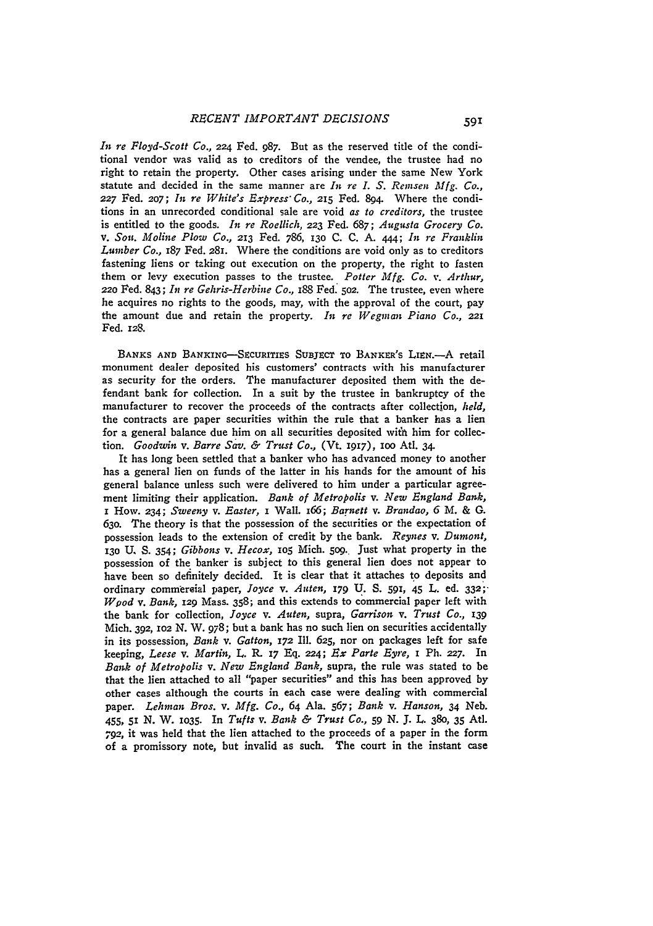*In re Floyd-Scott Co.,* 224 Fed. 987. But as the reserved title of the conditional vendor was valid as to creditors of the vendee, the trustee had no right to retain the property. Other cases arising under the same New York statute and decided in the same manner are *In re* I. S. *Remsen Mfg. Co.,*  227 Fed. 207; fo *re White's Express· Co.,* 215 Fed. 8g4 Where the conditions in an unrecorded conditional sale are void *as to creditors,* the trustee is entitled to the goods. *In re Roellich,* 223 Fed. 687; *Augusta Grocery Co.*  v. *So11. Moline Plow Co.,* 213 Fed. 786, 130 C. C. A. 444; *In re Franklin Lumber Co.,* 187 Fed. 281. Where the conditions are void only as to creditors fastening liens or taking out execution on the property, the right to fasten them or levy execution passes to the trustee. *Potter Mfg. Co.* \'. *Arthur,*  220 Fed. 843; *In re Gehris-Herbilie Co.,* 188 Fed: 502. The trustee, even where he acquires no rights to the goods, may, with the approval of the court, pay the amount due and retain the property. *In re Wegmaa Piano Co.,* 221 Fed. 128.

BANKS AND BANKING-SECURITIES SUBJECT To BANKER'S LIEN.-A retail monument dealer deposited his customers' contracts with his manufacturer as security for the orders. The manufacturer deposited them with the defendant bank for collection. In a suit by the trustee in bankruptcy of the manufacturer to recover the proceeds of the contracts after collection, *held,*  the contracts are paper securities within the rule that a banker has a lien for a general balance due him on all securities deposited with him for collection. *Goodwin* v. *Barre Sav.* & *Trust Co.,* (Vt. 1917), 100 At!. 34

It has long been settled that a banker who has advanced money to another has a general lien on funds of the latter in his hands for the amount of his general balance unless such were delivered to him under a particular agreement limiting their application. *Bank of Metropolis* v. *New England Bank,*  1 How. 234; *Sweeny* v. *Easter,* I Wall. 166; *Barnett* v. *Brandao, 6* M. & G. 630. The theory is that the possession of the securities or the expectation of possession leads to the extension of credit by the bank. *Reynes* v. *Dumont,*  130 U. S. 354; *Gibbons* v. *Hecox,* 105 Mich. 509·. Just what property in the possession of the banker is subject to this general lien does not appear to have been so definitely decided. It is clear that it attaches to deposits and ordinary commereial paper, *Joyce* v. *A1tten,* 179 U. S. 591, 45 L. ed. 332;- *Wpod* v. *Bank,* 129 Mass. 358; and this extends to commercial paper left with the bank for collection, *Joyce* v. *Auten,* supra, *Garrison* v. *Trust Co.,* 139 Mich. 392, 102 N. W. 978; but a bank has no such lien on securities accidentally in its possession, *Bank* v. *Gatton,* 172 Ill. 625, nor on packages left for safe keeping, *Leese* v. *Martin,* L. R 17 Eq. 224; *Ex Parte Eyre,* l Ph. 227. In *Ba1ik of Metropolis* v. *New England Bank,* supra, the rule was stated to be that the lien attached to all "paper securities" and this has been approved by other cases although the courts in each case were dealing with commercial paper. *Lehman Bros.* v. *Mfg. Co.,* 64 Ala. 567; *Bank* v. *Hanson,* 34 Neb. 455, 51 N. W. 1035· In *Tufts* v. *Bank* & *Trust Co.,* 59 N. J. L. 38o, 35 At!. *792,* it was held that the lien attached to the proceeds of a paper in the form of a promissory note, but invalid as such. The court in the instant case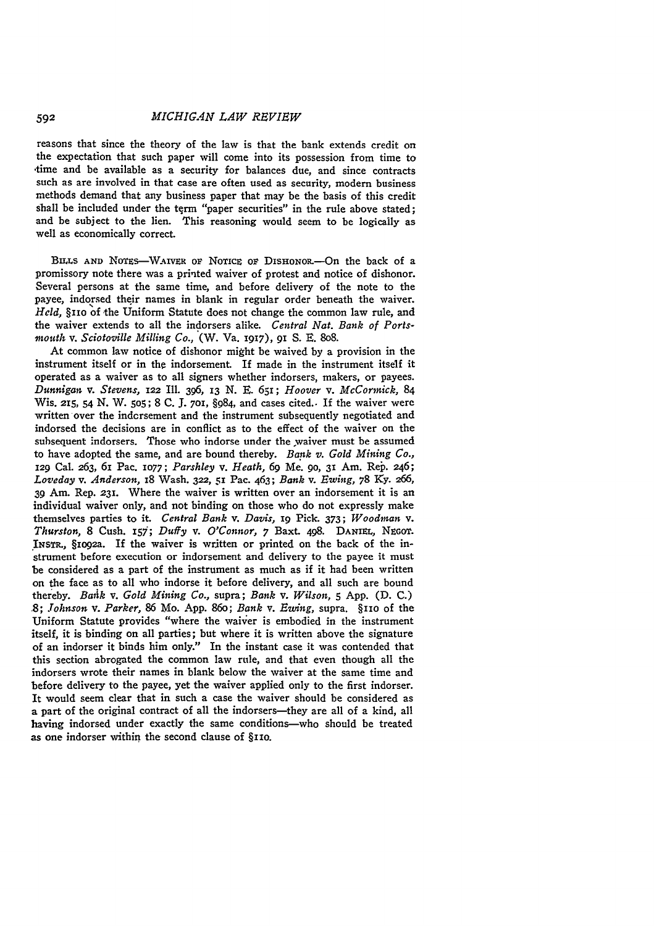reasons that since the theory of the law is that the bank extends credit on the expectation that such paper will come into its possession from time to •time and be available as a security for balances due, and since contracts such as are involved in that case are often used as security, modern business methods demand that any business paper that may be the basis of this credit shall be included under the term "paper securities" in the rule above stated; and be subject to the lien. This reasoning would seem to be logicaily as well as economically correct.

BILLS AND NOTES-WAIVER OF NOTICE OF DISHONOR.-On the back of a promissory note there was a printed waiver of protest and notice of dishonor. Several persons at the same time, and before delivery of the note to the payee, indorsed their names in blank in regular order beneath the waiver. *Held,* §110 of the Uniform Statute does not change the common law rule, and the waiver extends to all the indorsers alike. *Central Nat. Bank of Portsmouth v. Sciotoville Milling Co., (W. Va. 1917), 91 S. E. 808.* 

At common law notice of dishonor might be waived by a provision in the instrument itself or in the indorsement. If made in the instrument itse1£ it operated as a waiver as to all signers whether indorsers, makers, or payees. *Dunnigan* v. *Stevens,* 122 Ill. 3g6, 13 N. E. 651; *Hoover* v. *McCormick,* 84 Wis. 215, 54 N. W. 505; 8 C. J. 701, §984, and cases cited. If the waiver were written over the indcrsement and the instrument subsequently negotiated and indorsed the decisions are in conflict as to the effect of the waiver on the subsequent indorsers. Those who indorse under the waiver must be assumed to have adopted the same, and are bound thereby. *Bank v. Gold Mining Co.,*  129 Cal. 263, 61 Pac. 1077; Parshley v. Heath, 69 Me. 90, 31 Am. Rep. 246; *Lo'l!eday* v. *Anderson,* 18 Wash. 322, 51 Pac. 463; *Bank* v. *Ewing,* 78 Ky. 266, <sup>39</sup>Am. Rep. 231. Where the waiver is written over an indorsement it is an individual waiver only, and not binding on those who do not expressly make themselves parties to it. *Central Bank* v. *Davis,* 19 Pick. 373; *Woodman* v. *Thurston, 8 Cush. 157; Duffy v. O'Connor, 7 Baxt. 498. DANIEL, NEGOT.* . INS'tR., §1092a. If the waiver is written or printed on the back of the instrument before execution or indorsement and delivery to the payee it must be considered as a part of the instrument as much as if it had been written on the face as to all who indorse it before delivery, and all such are bound thereby. *Baiik* v. *Gold Mining Co.,* supra; *Bank* v. *Wilson,* s App. (D. C.) .8; *Johnson* v. *Parker,* 86 Mo. App. 86o; *Bank* v. *Ewing,* supra. §no of the Uniform Statute provides "where the waiver is embodied in the instrument itself, it is binding on all parties; but where it is written above the signature of an indorser it binds him only." In the instant case it was contended that this section abrogated the common law rule, and that even though all the indorsers wrote their names in blank below the waiver at the same time and before delivery to the payee, yet the waiver applied only to the first indorser. It would seem clear that in such a case the waiver should be considered as a part of the original contract of all the indorsers-they are all of a kind, all having indorsed under exactly the same conditions-who should be treated as one indorser within the second clause of  $§110$ .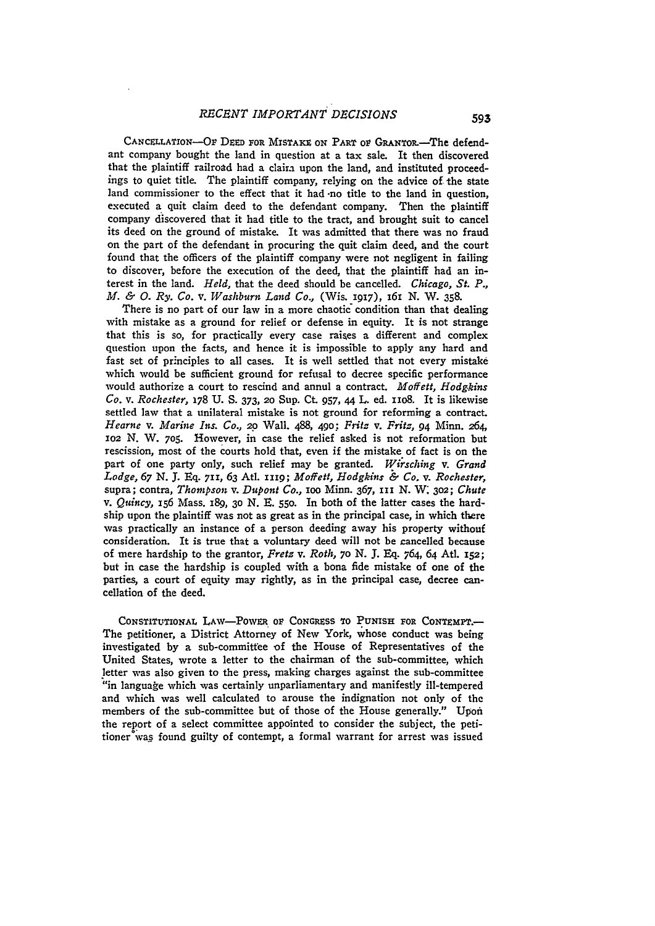CANCELLATION-OF DEED FOR MISTAKE ON PART OF GRANTOR.-The defendant company bought the land in question at a tax sale. It then discovered that the plaintiff railroad had a claira upon the land, and instituted proceedings to quiet title. The plaintiff company, relying on the advice of the state land commissioner to the effect that it had ·no title to the land in question, executed a quit claim deed to the defendant company. Then the plaintiff company discovered that it had title to the tract, and brought suit to cancel its deed on the ground of mistake. It was admitted that there was no fraud on the part of the defendant in procuring the quit claim deed, and the court found that the officers of the plaintiff company were not negligent in failing to discover, before the execution of the deed, that the plaintiff had an interest in the land. *Held,* that the deed should be cancelled. *Chicago, St. P., M.* & *O. Ry. Co.* V. *Washburn Land Co.,* (Wis. 1917), 161 N. W. 358.

There is no part of our law in a more chaotic condition than that dealing with mistake as a ground for relief or defense in equity. It is not strange that this is so, for practically every case raises a different and complex question upon the facts, and hence it is impossible to apply any hard and fast set of principles to all cases. It is well settled that not every mistake which would be sufficient ground for refusal to decree specific performance would authorize a court to rescind and annul a contract. *Moffett, Hodg.kins Co.* v. *Rochester,* i78 U. S. 373, 20 Sup. Ct. *957,* 44 L. ed. no8. It is likewise settled law that a unilateral mistake is not ground for reforming a contract. *Hearne* v. *Marine Ins. Co.,* :zp Wall. 488, 490; *Fritz* v. *Fritz,* 94 Minn. 264, 102 N. W. *705.* However, in case the relief asked is not reformation but rescission, most of the courts hold that, even if the mistake of fact is on the part of one party only, such relief may be granted. *Wirsching* v. *Grand Lodge, 67* N. J. Eq. 7n, 63 Atl. n19; *Moffett, Hodgkins* & *Co.* v. *Rochester,*  supra; contra, *Thompson* v. *Dupont Co.,* IOO Minn. 367, III N. W: 302; *Chute*  v. *Quincy,* 156 Mass. 189, 30 N. E. 550. In both of the latter cases the hardship upon the plaintiff was not as great as in the principal case, in which there was practically an instance of a person deeding away his property without consideration. It is true that a voluntary deed will not be cancelled because of mere hardship to the grantor, *Fretz* v. *Roth, 70* N. J. Eq. 764, 64 At!. 152; but in case the hardship is coupled with a bona fide mistake of one of the parties, a court of equity may rightly, as in the principal case, decree cancellation of the deed.

CONSTITUTIONAL LAW-POWER OF CONGRESS TO PUNISH FOR CONTEMPT.-The petitioner, a District Attorney of New York, whose conduct was being investigated by a sub-committee of the House of Representatives of the United States, wrote a letter to the chairman of the sub-committee, which letter was also given to the press, making charges against the sub-committee ''in language which was certainly unparliamentary and manifestly ill-tempered and which was well calculated to arouse the indignation not only of the members of the sub-committee but of those of the House generally." Upon the report of a select committee appointed to consider the subject, the petitioner \va§ found guilty of contempt, a formal warrant for arrest was issued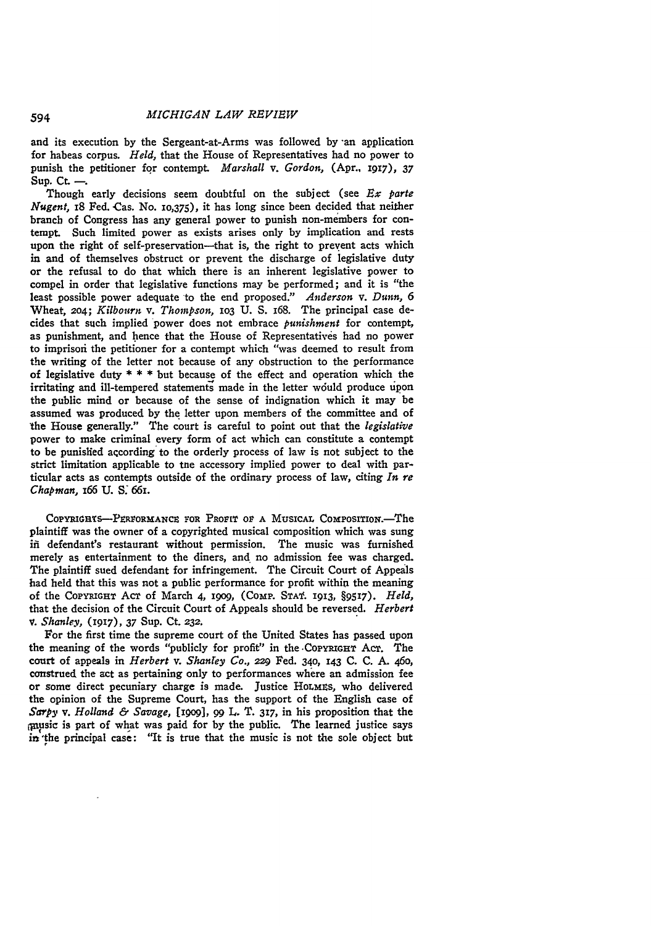and its execution by the Sergeant-at-Arms was followed by ·an application for habeas corpus. *Held,* that the House of Representatives had no power to punish the petitioner for contempt. *Marshall v. Gordon*, (Apr., 1917), 37 Sup.  $Ct. -$ .

Though early decisions seem doubtful on the subject (see Ex parte *Nugent*, 18 Fed. Cas. No. 10,375), it has long since been decided that neither branch of Congress has any general power to punish non-members for contempt. Such limited power as exists arises only by implication and rests upon the right of self-preservation--that is, the right to prevent acts which in and of themselves obstruct or prevent the discharge of legislative duty or the refusal to do that which there is an inherent legislative power to compel in order that legislative functions may be performed; and it is "the least possible power adequate to the end proposed." *Anderson* v. Dunn, 6 Wheat, 204; *Kilbourn* v. *Thompson,* 103 U. S. 168. The principal case decides that such implied power does not embrace *punishment* for contempt, as punishment, and hence that the House of Representatives had no power to imprison the petitioner for a contempt which "was deemed to result from the writing of the letter not because of any obstruction to the performance of legislative duty  $* * *$  but because of the effect and operation which the irritating and ill-tempered statements made in the letter would produce upon the public mind or because of the sense of indignation which it may be assumed was produced by the letter upon members of the committee and of ·the House generally." The court is careful to point out that the *legislative*  power to make criminal every form of act which can constitute a contempt to be punislied according to the orderly process of law is not subject to the strict limitation applicable to tne accessory implied power to deal with particular acts as contempts outside of the ordinary process of law, citing *In re Chapman,* 166 U. *s:* 661.

COPYRIGHTS-PERFORMANCE FOR PROFIT OF A MUSICAL COMPOSITION.-The plaintiff was the owner of a copyrighted musical composition which was sung in defendant's restaurant without permission. The music was furnished merely as entertainment to the diners, and no admission fee was charged. The plaintiff sued defendant for infringement. The Circuit Court of Appeals had held that this was not a public performance for profit within the meaning of the COPYRIGHT ACT of March 4, 1909, (COMP. STAT. 1913, §g517). *Held,*  that the decision of the Circuit Court of Appeals should be reversed. *Herbert*  v. *Shanley,* (1917), 37 Sup. Ct. 232. ·

For the first time the supreme court of the United States has passed upon the meaning of the words "publicly for profit" in the COPYRIGHT ACT. The court of appeals in *Herbert* v. *Shanfey Co.,* 229 Fed. 340, 143 C. C. A. 460, construed the act as pertaining only to performances where an admission fee or some direct pecuniary charge is made. Justice HOLMES, who delivered the opinion of the Supreme Court, has the support of the English case of *Sarpy v. Holland & Savage,* [1909], 99 L. T. 317, in his proposition that the ;pusic is part of what was paid for by the public. The learned justice says in the principal case: "It is true that the music is not the sole object but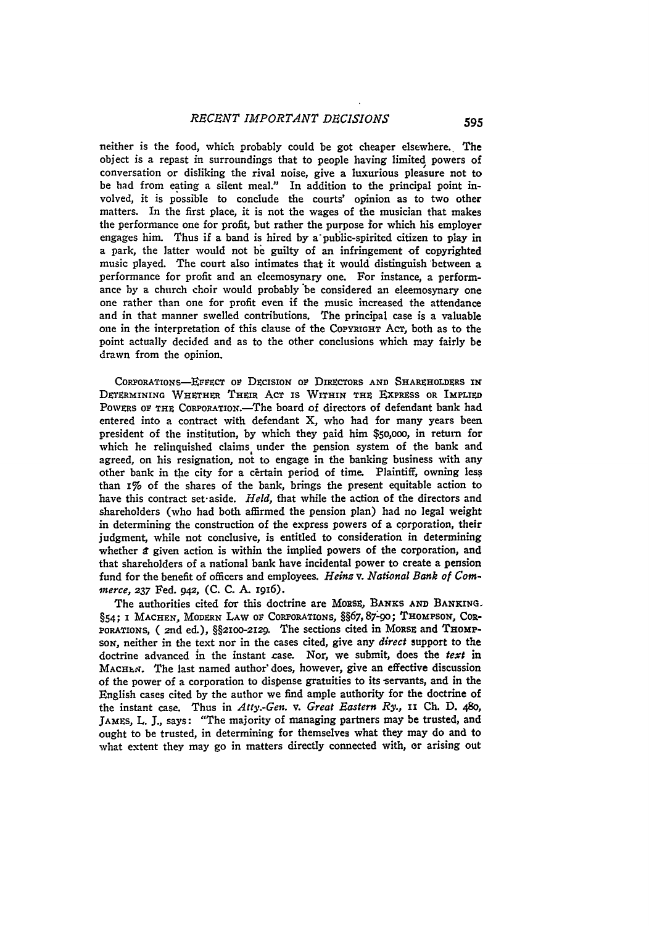neither is the food, which probably could be got cheaper elsewhere. The object is a repast in surroundings that to people having limited powers of conversation or disliking the rival noise, give a luxurious pleasure not to be had from eating a silent meal." In addition to the principal point involved, it is possible to conclude the courts' opinion as to two other matters. In the first place, it is not the wages of the musician that makes the performance one for profit, but rather the purpose for which his employer engages him. 'fhus if a band is hired by a· public-spirited citizen to play in a park, the latter would not be guilty of an infringement of copyrighted music played. The court also intimates that it would distinguish between a performance for profit and an eleemosynary one. For instance, a performance by a church choir would probably be considered an eleemosynary one one rather than one for profit even if the music increased the attendance and in that manner swelled contributions. The principal case is a valuable one in the interpretation of this clause of the COPYRIGHT AcT, both as to the point actually decided and as to the other conclusions which may fairly be drawn from the opinion.

CORPORATIONS-EFFECT OF DECISION OF DIRECTORS AND SHAREHOLDERS IN DETERMINING WHETHER THEIR ACT IS WITHIN THE EXPRESS OR IMPLIED Powers of THE CORPORATION.-The board of directors of defendant bank had entered into a contract with defendant X, who had for many years been president of the institution, by which they paid him \$50,000, in retum for which he relinquished claims under the pension system of the bank and agreed, on his resignation, not to engage in the banking business with any other bank in the city for a certain period of time. Plaintiff, owning less than 1% of the shares of the bank, brings the present equitable action to have this contract set·aside. *Held,* that while the action of the directors and shareholders (who had both affirmed the pension plan) had no legal weight in determining the construction of the express powers of a corporation, their judgment, while not conclusive, is entitled to consideration in determining whether  $\sigma$  given action is within the implied powers of the corporation, and that shareholders of a national bank have incidental power to create a pension fund for the benefit of officers and employees. *Heinz* v. *National Bank of Commerce,* 237 Fed. *942,* (C. C. A. I9I6).

The authorities cited for this doctrine are MORSE, BANKS AND BANKING. §54; I MACHEN, MODERN LAW OF CORPORATIONS, §§67, 87-90; THOMPSON, COR-PORATIONS, (2nd ed.), §§2100-2129. The sections cited in MORSE and THOMP-SON, neither in the text nor in the cases cited, give any *direct* support to the doctrine advanced in the instant case. Nor, we submit, does the text in MACHEN. The last named author' does, however, give an effective discussion of the power of a corporation to dispense gratuities to its servants, and in the English cases cited by the author we find ample authority for the doctrine of the instant case. Thus in *Atty.-Gen.* v. *Great Eastern Ry.,* II Ch. D. 4&>, JAMES, L. J., says: "The majority of managing partners may be trusted, and ought to be trusted, in determining for themselves what they may do and to what extent they may go in matters directly connected with, or arising out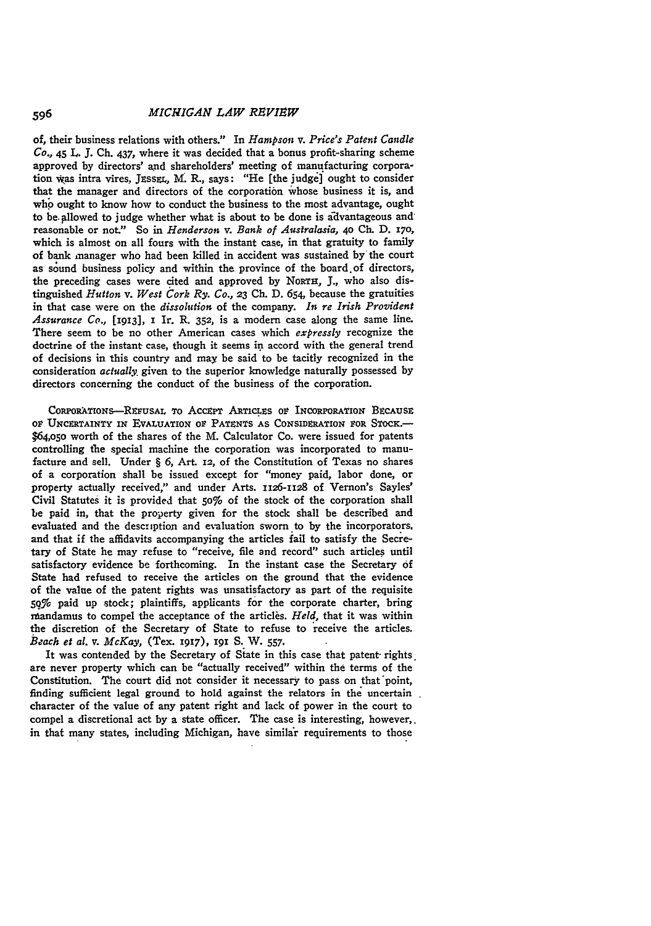of, their business relations with others." In *Hampson* v. *Price's Patent Candle Co.,* 45 L. J. Ch. 437, where it was decided that a bonus profit-sharing scheme approved by directors' and shareholders' meeting of manufacturing corporation was intra vires, JESSEL, M. R., says: "He [the judge] ought to consider that the manager and directors of the corporation whose business it is, and who ought to know how to conduct the business to the most advantage, ought to be allowed to judge whether what is about to be done is advantageous and reasonable or not." So in *Henderson* v. *Bank of Australasia,* 40 Ch. D. 170, which is almost on all fours with the instant case, in that gratuity to family of bank manager who had been killed in accident was sustained by the court as sound business policy and within the province of the board. of directors, the preceding cases were cited and approved by NorrH, J., who also distinguished *Hutton* v. *West Cork Ry. Co.,* 23 Ch. D. *6s4,* because the gratuities in that case were on the *dissolution* of the company. In re Irish Provident Assurance Co., [1913], I Ir. R. 352, is a modern case along the same line. There seem to be no other American cases which *expressly* recognize the doctrine of the instant case, though it seems in accord with the general trend of decisions in this country and may. be said to be tacitly recognized in the consideration *actually\_* given to the superior knowledge naturally possessed by directors concerning the conduct of the business of the corporation.

CORPORATIONS-REFUSAL TO ACCEPT ARTICLES OF INCORPORATION BECAUSE OF UNCERTAINTY IN EVALUATION OF PATENTS AS CONSIDERATION FOR STOCK.-\$64,050 worth of the shares of the M. Calculator Co. were issued for patents controlling the special machine the corporation was incorporated to manufacture and sell. Under § 6, Art. 12, of the Constitution of Texas no shares of a corporation shall be issued except for "money paid, labor done, or property actually received," and under Arts. 1126-1128 of Vernon's Sayles' Civil Statutes it is provided that *so%* of the stock of the corporation shall be paid in, that the property given for the stock shall be described and evaluated and the description and evaluation sworn to by the incorporators. and that if the affidavits accompanying the articles fail to satisfy the Secretary of State he may refuse to "receive, file and record" such articles until satisfactory evidence be forthcoming. In the instant case the Secretary of State had refused to receive the articles on the ground that the evidence of the value of the patent rights was unsatisfactory as part of the requisite 50% paid up stock; plaintiffs, applicants for the corporate charter, bring mandamus to compel the acceptance of the articles. *Held,* that it was within the discretion of the Secretary of State to refuse to receive the articles. B~ach *et al.* v. *McKay,* (Tex. 1917), 191 S. W. *SS7·* 

It was contended by the Secretary of State in this case that patent· rights. are never property which can be "actually received" within the terms of the Constitution. The court did not consider it necessary to pass on that point, finding sufficient legal ground to hold against the relators in the uncertain. character of the value of any patent right and lack of power in the court to compel a discretional act by a state officer. The case is interesting, however, . in that many states, including Michigan, have similar requirements to those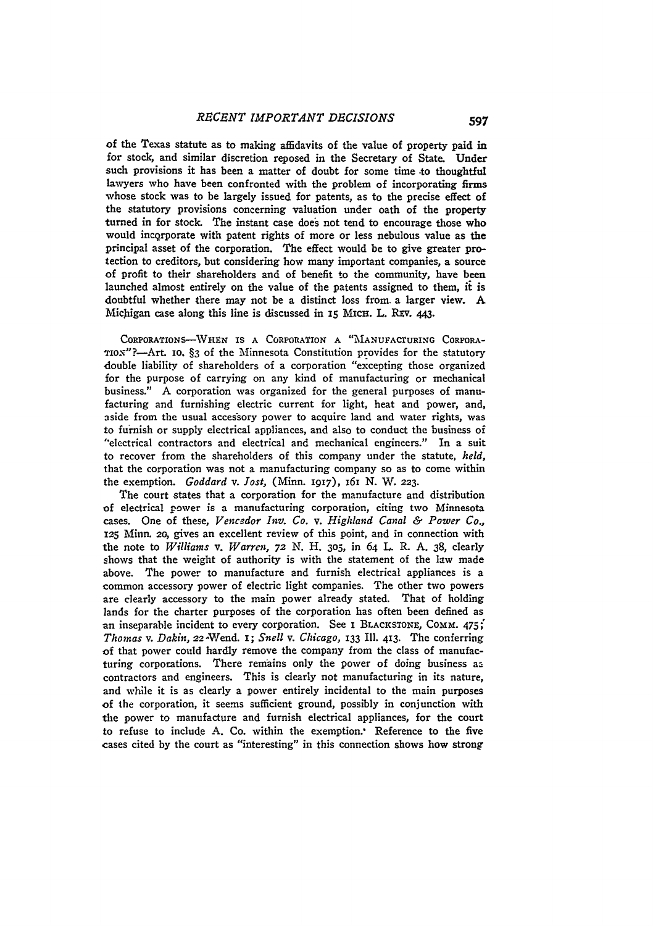of the Texas statute as to making affidavits of the value of property paid in for stock, and similar discretion reposed in the Secretary of State. Under such provisions it has been a matter of doubt for some time to thoughtful lawyers who have been confronted with the problem of incorporating firms whose stock was to be largely issued for patents, as to the precise effect of the statutory provisions concerning valuation under oath of the property turned in for stock. The instant case does not tend to encourage those who would incorporate with patent rights of more or less nebulous value as the principal asset of the corporation. The effect would be to give greater protection to creditors, but considering how many important companies, a source of profit to their shareholders and of benefit to the community, have been launched almost entirely on the value of the patents assigned to them, it is doubtful whether there may not be a distinct loss from. a larger view. A Michigan case along this line is discussed in 15 MICH. L. REV. 443.

CORPORATIONS-WHEN IS A CORPORATION A "MANUFACTURING CORPORA- $TIOX"$ ?--Art. 10, §3 of the Minnesota Constitution provides for the statutory double liability of shareholders of a corporation "excepting those organized for the purpose of carrying on any kind of manufacturing or mechanical business." A corporation was organized for the general purposes of manufacturing and furnishing electric current for light, heat and power, and, aside from the usual accessory power to acquire land and water rights, was to furnish or supply electrical appliances, and also to conduct the business of "electrical contractors and electrical and mechanical engineers.'' In a suit to recover from the shareholders of this company under the statute, *held,*  that the corporation was not a manufacturing company so as to come within the exemption. *Goddard* v. *lost,* (Minn. I9I7), I6I N. W. 223.

The court states that a corporation for the manufacture and distribution of electrical rower is a manufacturing corporation, citing two Minnesota cases. One of these, *Vencedor Inv. Co.* v. *Highland Canal* & *Power Co.,*  125 Minn. 20, gives an excellent review of this point, and in connection with the note to *Williams* v. *Warren,* 72 N. H. 305, in 64 L. R A. 38, clearly shows that the weight of authority is with the statement of the law made above. The power to manufacture and furnish electrical appliances is a common accessory power of electric light companies. The other two powers are clearly accessory to the main power already stated. That of holding lands for the charter purposes of the corporation has often been defined as an inseparable incident to every corporation. See I BLACKSTONE,  $Comm. 475$ ; *Thomas v. Dakin, 22 Wend.* 1; *Snell v. Chicago,* 133 Ill. 413. The conferring of that power could hardly remove the company from the class of manufacturing corporations. There remains only the power of doing business as contractors and engineers. This is clearly not manufacturing in its nature, and while it is as clearly a power entirely incidental to the main purposes of the corporation, it seems sufficient ground, possibly in conjunction with the power to manufacture and furnish electrical appliances, for the court to refuse to include A. Co. within the exemption.<sup>•</sup> Reference to the five cases cited by the court as "interesting" in this connection shows how strong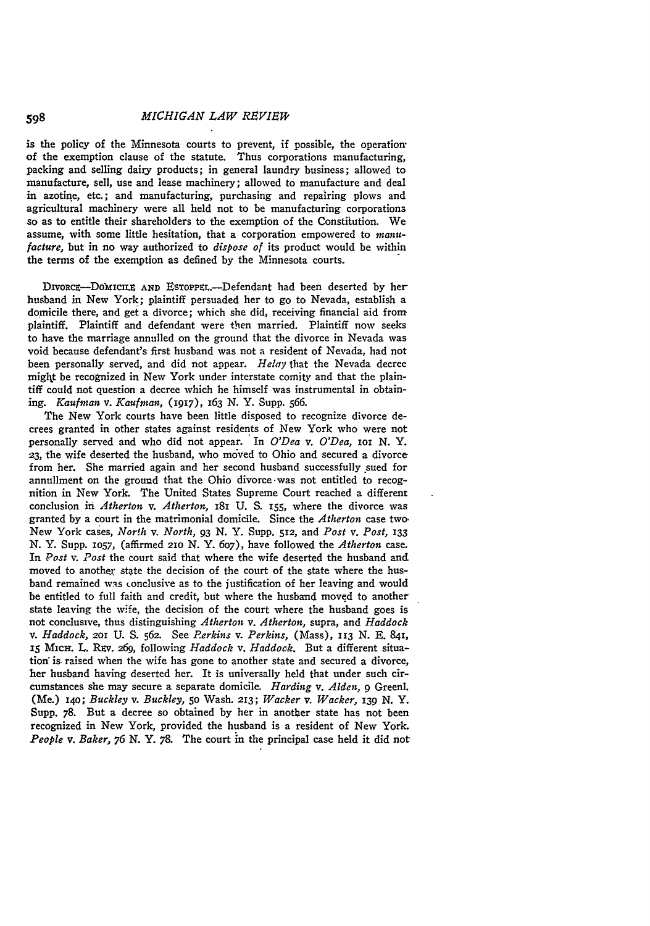is the policy of the Minnesota courts to prevent, if possible, the operation· of the exemption clause of the statute. Thus corporations manufacturing, packing and selling daiiy products; in general laundry business; allowed to manufacture, sell, use and lease machinery; allowed to manufacture and deal in azotine, etc.; and manufacturing, purchasing and repairing plows and agricultural machinery were all held not to be manufacturing corporations so as to entitle their shareholders to the exemption of the Constitution. We assume, with some little hesitation, that a corporation empowered to *manufacture,* but in no way authorized to *dispose of* its product would be within the terms of the exemption as defined by the Minnesota courts.

DIVORCE-DOMICILE AND ESTOPPEL.-Defendant had been deserted by her husband in New York; plaintiff persuaded her to go to Nevada, establish a domicile there, and get a divorce; which she did, receiving financial aid from plaintiff. Plaintiff and defendant were then married. Plaintiff now seeks to have the marriage annulled on the ground that the divorce in Nevada was void because defendant's first husband was not a resident of Nevada, had not been personally served, and did not appear. *Helay* that the Nevada decree might be recognized in New York under interstate comity and that the plaintiff could not question a decree which he himself was instrumental in obtaining. *Kaufman* v. *Kaufman,* (1917), 163 N. Y. Supp. 566.

The New York courts have been little disposed to recognize divorce decrees granted in other states against residents of New York who were not personally served and who did not appear. In *O'Dea* v. *O'Dea*, IOI N. Y. *23,* the wife deserted the husband, who moved to Ohio and secured a divorce from her. She married again and her second husband successfully sued for annullment on the ground that the Ohio divorce· was not entitled to recognition in New York. The United States Supreme Court reached a different conclusion in *Atherton v. Atherton*, 181 U. S. 155, where the divorce was granted by a court in the matrimonial domicile. Since the *Atherton* case two· New York cases, *Nor!h* v. *North,* 93 N. Y. Supp. 512, and *Post* v. *Post,* 133 N. Y. Supp. 1057, (affirmed 210 N. Y. 607), have followed the *Atherton* case. In *Post* v. *Post* the court said that where the wife deserted the husband and moved to another state the decision of the court of the state where the husband remained was conclusive as to the justification of her leaving and would be entitled to full faith and credit, but where the husband moved to another state leaving the wife, the decision of the court where the husband goes is not conclusive, thus distinguishing *Atherton* v. *Atherton,* supra, and *Haddock*  v. *Haddock,* 201 U. S. 562. See *P.erkins* v. *Perkins,* (Mass), II3 N. E. 841, 15 Mich. L. Rev. 269, following *Haddock* v. *Haddock*. But a different situation is raised when the wife has gone to another state and secured a divorce, her husband having deserted her. It is universally held that under such circumstances she may secure a separate domicile. *Harding* v. *Alden, 9* Greenl. (Me.) 140; *Buckley* v. *Buckley,* 50 Wash. 213; *Wacker* v. *Wacker,* 139 N. Y. Supp. 78. But a decree so obtained by her in another state has not been recognized in New York, provided the husband is a resident of New York. *People* v. *Baker,* 76 N. Y. 78. The court in the principal case held it did not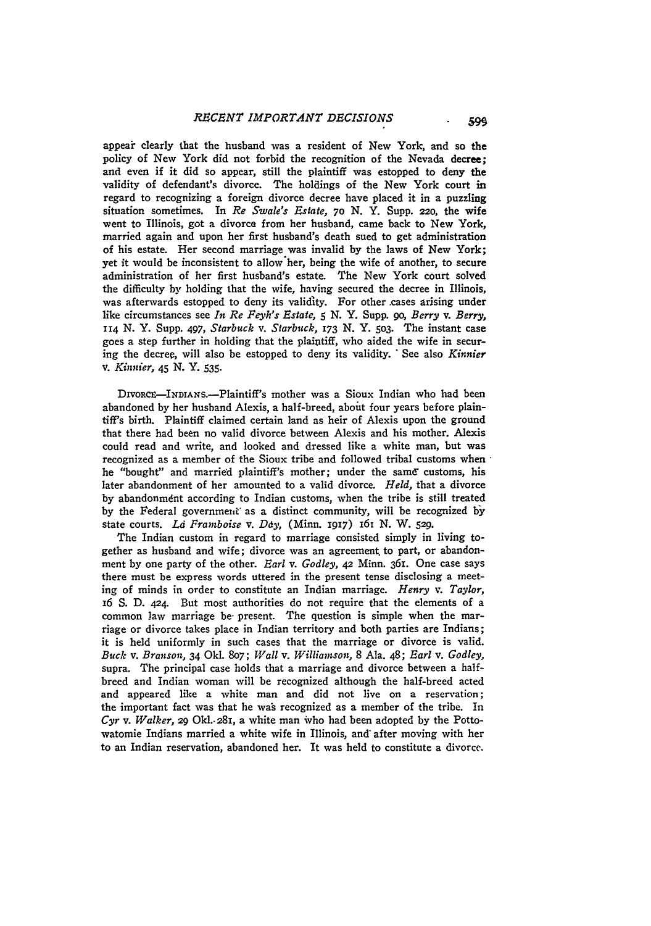appear clearly that the husband was a resident of New York, and so the policy of New York did not forbid the recognition of the Nevada decree; and even if it did so appear, still the plaintiff was estopped to deny the validity of defendant's divorce. The holdings of the New York court in regard to recognizing a foreign divorce decree have placed it in a puzzling situation sometimes. In *Re Swale's Estate,* 70 N. Y. Supp. 220, the wife went to Illinois, got a divorca from her husband, came back to New York, married again and upon her first husband's death sued to get administration of his estate. Her second marriage was invalid by the laws of New York; yet it would be inconsistent to allow her, being the wife of another, to secure administration of her first husband's estate. The New York court solved the difficulty by holding that the wife, having secured the decree in Illinois, was afterwards estopped to deny its validity. For other cases arising under like circumstances see *In Re Fe)•h's Estate,* 5 N. Y. Supp. *go, Berry* v. *Berry,*  II4 N. Y. Supp. 497, *Starbuck* v. *Starbieck,* 173 N. Y. 503. The instant case goes a step further in holding that the plaintiff, who aided the wife in securing the decree, will also be estopped to deny its validity. · See also *Kinnier*  v. *Ki1111ier,* 45 N. Y. 535.

DIVORCE—INDIANS.—Plaintiff's mother was a Sioux Indian who had been abandoned by her husband Alexis, a half-breed, about four years before plaintiff's birth. Plaintiff claimed certain land as heir of Alexis upon the ground that there had been no valid divorce between Alexis and his mother. Alexis could read and write, and looked and dressed like a white man, but was recognized as a member of the Sioux tribe and followed tribal customs when · he "bought" and married plaintiff's mother; under the same customs, his later abandonment of her amounted to a valid divorce. *Held,* that a divorce by abandonment according to Indian customs, when the tribe is still treated by the Federal government as a distinct community, will be recognized by state courts. *La Framboise v. Day*, (Minn. 1917) 161 N. W. 529.

The Indian custom in regard to marriage consisted simply in living together as husband and wife; divorce was an agreement. to part, or abandonment by one party of the other. *Earl* v. *Godley,* 42 Minn. 361. One case says there must be express words uttered in the present tense disclosing a meeting of minds in order to constitute an Indian marriage. *Henry* v. *Taylor,*  16 S. D. 424 But most authorities do not require that the elements of a common !aw marriage be· present. The question is simple when the marriage or divorce takes place in Indian territory and both parties are Indians; it is held uniformly in such cases that the marriage or divorce is valid. *Buck* v. *Branson,* 34 Okl. 8o7; *Wall* v. *Williamson,* 8 Ala. 48; *Earl* v. *Godley,*  supra. The principal case holds that a marriage and divorce between a halfbreed and Indian woman will be recognized although the half-breed acted and appeared like a white man and did not live on a reservation; the important fact was that he was recognized as a member of the tribe. In *Cyr* v. *Walker,* 29 Okl.-281, a white man \vho had been adopted by the Pottawatomie Indians married a white wife in Illinois, and after moving with her to an Indian reservation, abandoned her. It was held to constitute a divorcr.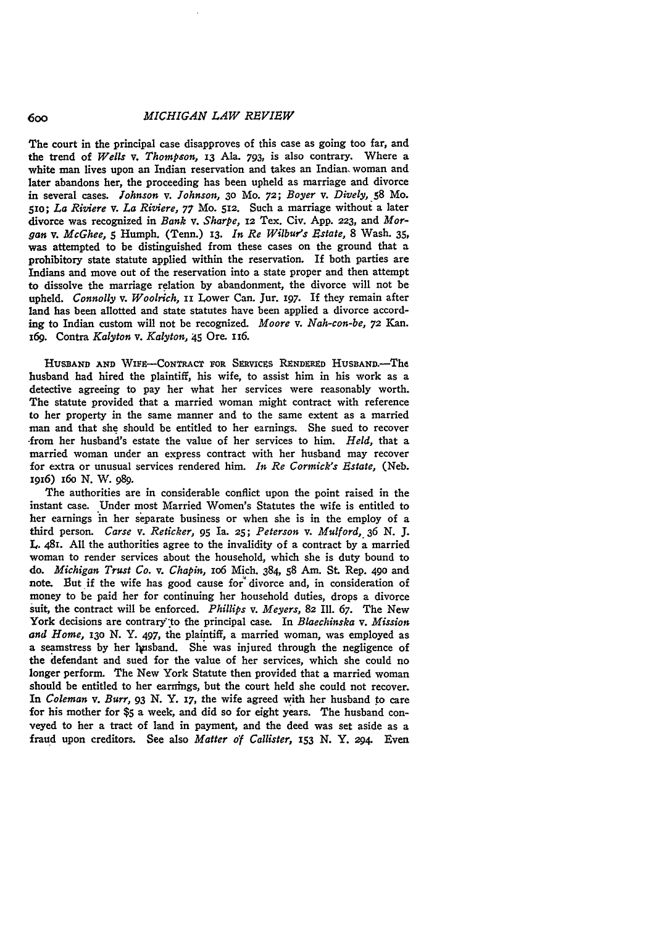The court in the principal case disapproves of this case as going too far, and the trend of *Wells* v. *Thompson,* 13 Ala. *793,* is also contrary. Where a white man lives upon an Indian reservation and takes an Indian, woman and later abandons her, the proceeding has been upheld as marriage and divorce in several cases. *Johnson* v. *Johnson,* 30 Mo. *72; Boyer* v. *Dively,* 58 Mo. 510; *La Riviere* v. *La Riviere, 77* Mo. 512. Such a marriage without a later divorce was recognized in *Bank* v. *Sharpe,* 12 Tex. Civ. App. 223, and *Morgan* v. *McGhee, 5* Humph. (Tenn.) 13. *In Re Wilbur's Estate,* 8 Wash. 35, was attempted to be distinguished from these cases on the ground that a prohibitory state statute applied within the reservation. If both parties are Indians and move out of the reservation into a state proper and then attempt to dissolve the marriage relation by abandonment, the divorce will not be upheld. *Connolly v. Woolrich*, II Lower Can. Jur. 197. If they remain after land has been allotted and state statutes have been applied a divorce according to Indian custom will not be recognized. *Moore* v. *N ah-con-be, 72* Kan. 16g. Contra *Kalyton* v. *Kalyton,* 45 Ore. u6.

HUSBAND AND WIFE-CONTRACT FOR SERVICES RENDERED HUSBAND.-The husband had hired the plaintiff, his wife, to assist him in his work as a detective agreeing to pay her what her services were reasonably worth. The statute provided that a married woman might contract with reference to her property in the same manner and to the same extent as a married man and that she should be entitled to her earnings. She sued to recover ·from her husband's estate the value of her services to him. *Held,* that a married woman under an express contract with her husband may recover for extra or unusual services rendered him. *In Re Cormick's Estate,* (Neb. 1916) 16o N. W. *g89.* 

The authorities are in considerable conflict upon the point raised in the instant case. Under most Married Women's Statutes the wife is entitled to her earnings in her separate business or when she is in the employ of a third person. *Carse* v. *Reticker, 95* Ia. 25; *Peterson* v. *Mulford,* 36 N. J. L. 481. All the authorities agree to the invalidity of a contract by a married woman to render services about the household, which she is duty bound to do. *Michigan Trust Co.* v. *Chapin,* lo6 Mich. 38.1, 58 Am. St. Rep. 490 and note. But if the wife has good cause for divorce and, in consideration of money to be paid her for continuing her household duties, drops a divorce suit, the contract will be enforced. *Phillips* v. *Meyers,* 82 Ill. 67. The New York decisions are contrary·:to the principal case. In *Blaechinska* v. *Mission and Home,* 130 N. Y. *497,* the plaintiff, a married woman, was employed as a seamstress by her husband. She was injured through the negligence of the defendant and sued for the value of her services, which she could no longer perform. The New York Statute then provided that a married woman should be entitled to her earnings, but the court held she could not recover. In *Coleman* v. *Burr, 93* N. Y. 17, the wife agreed with her husband to care for his mother for \$5 a week, and did so for eight years. The husband conveyed to her a tract of land in payment, and the deed was set aside as a fraud upon creditors. See also Matter of Callister, 153 N. Y. 294. Even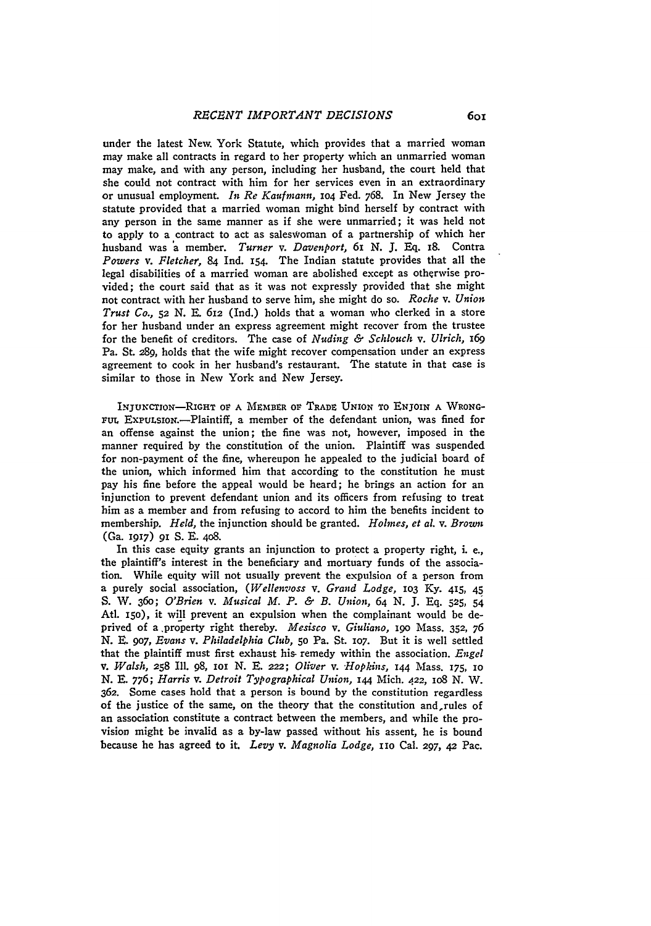under the latest New. York Statute, which provides that a married woman may make all contracts in regard to her property which an unmarried woman may make, and with any person, including her husband, the court held that she could not contract with him for her services even in an extraordinary or unusual employment. *In Re Kaufmann,* I04 Fed. 768. In New Jersey the statute provided that a married woman might bind herself by contract with any person in the same manner as if she were unmarried; it was held not to apply to a contract to act as saleswoman of a partnership of which her husband was 'a member. *Turner* v. *Davenport,* 61 N. J. Eq. 18. Contra Powers v. Fletcher, 84 Ind. 154. The Indian statute provides that all the legal disabilities of a married woman are abolished except as otherwise provided; the court said that as it was not expressly provided that she might not contract with her husband to serve him, she might do so. *Roche* v. *Union Trust Co.,* 52 N. E. 612 (Ind.) holds that a woman who clerked in a store for her husband under an express agreement might recover from the trustee for the benefit of creditors. The case of *Nuding* & *Schlouch* v. *Ulrich,* 169 Pa. St. 289, holds that the wife might recover compensation under an express agreement to cook in her husband's restaurant. The statute in that case is similar to those in New York and New Jersey.

INJUNCTION-RIGHT OF A M£MB£R OF TRAD£ UNION TO ENJOIN A WRONG-FUI. EXPULSION.-Plaintiff, a member of the defendant union, was fined for an offense against the union; the fine was not, however, imposed in the manner required by the constitution of the union. Plaintiff was suspended for non-payment of the fine, whereupon he appealed to the judicial board of the union, which informed him that according to the constitution he must pay his fine before the appeal would be heard; he brings an action for an injunction to prevent defendant union and its officers from refusing to treat him as a member and from refusing to accord to him the benefits incident to membership. *Held,* the injunction should be granted. *Holmes, et al.* v. *Brown*  (Ga. 1917) 91 S. E. 4o8.

In this case equity grants an injunction to protect a property right, i. e., the plaintiff's interest in the beneficiary and mortuary funds of the association. While equity will not usually prevent the expulsion of a person from a purely social association, (Wellenvoss v. Grand Lodge, 103 Ky. 415, 45 S. W. 36o; *O'Brien* v. *Musical M. P.* & *B. U11io11,* 64 N. J. Eq. 525, 54 Atl. 150), it will prevent an expulsion when the complainant would be deprived of a ,property right thereby. *Mesisco* v. *Giuliano,* 190 Mass. 352, *76*  N. E. *907, Evans* v. *Philadelphia Club,* 50 Pa. St. 107. But it is well settled that the plaintiff must first exhaust his- remedy within the association. *Engel*  v. *Walsh,* 258 Ill. g8, IOI N. E. 222; *Oliver* v. *Hopkins,* 144 Mass. 175, IO N. E. 776; *Harris* v. *Detroit Typographical Union,* 144 Mich. 422, lo8 N. W. 362. Some cases hold that a person is bound by the constitution regardless of the justice of the same, on the theory that the constitution and,rules of an association constitute a contract between the members, and while the provision might be invalid as a by-law passed without his assent, he is bound because he has agreed to it. *Levy* v. *Magnolia Lodge,* uo Cal. *297,* 42 Pac.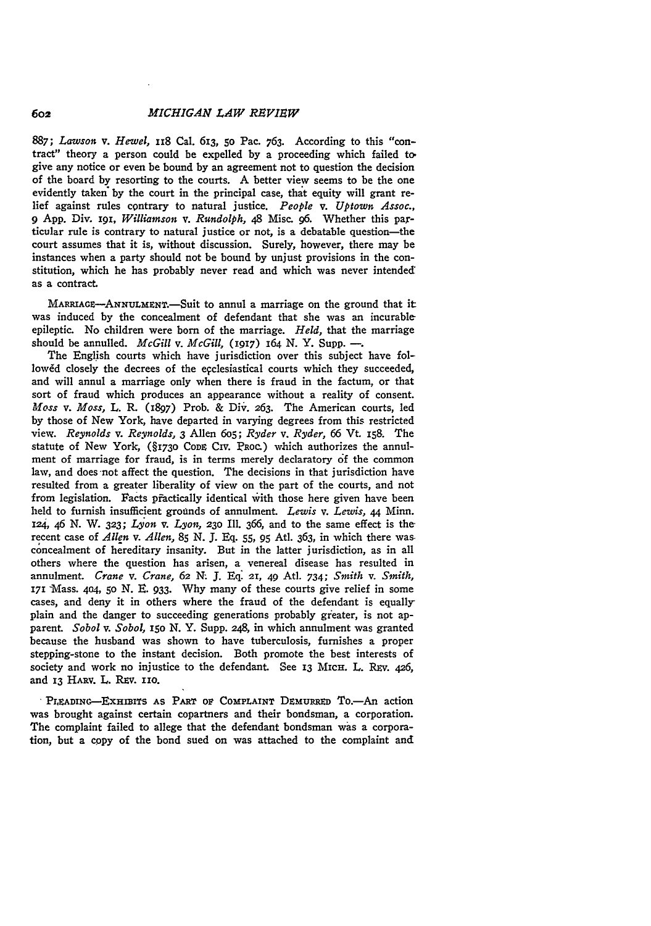887; *Lawson* v. *Hewel,* u8 Cal. 613, 50 Pac. *763.* According to this "contract" theory a person could be expelled by a proceeding which failed to give any notice or even be bound by an agreement not to question the decision of the board by resorting to the courts. A better view seems to be the one evidently taken" by the court in the principal case, that equity will grant relief against rules contrary to natural justice. *People* v. *Uptown Assoc.,*  9 App. Div. 191, *Williamson v. Rundolph*, 48 Misc. 96. Whether this particular rule is contrary to natural justice or not, is a debatable question-the court assumes that it is, without discussion. Surely, however, there may be instances when a party should not be bound by unjust provisions in the constitution, which he has probably never read and which was never intended'. as a contract.

MARRIAGE-ANNULMENT.-Suit to annul a marriage on the ground that *it*  was induced by the concealment of defendant that she was an incurableepileptic. No children were born of the marriage. *Held,* that the marriage should be annulled. *McGill v. McGill*, (1917) 164 N. Y. Supp. -

The English courts which have jurisdiction over this subject have followed closely the decrees of the ecclesiastical courts which they succeeded, and will annul a marriage only when there is fraud in the factum, or that sort of fraud which produces an appearance without a reality of consent. *Moss* v. *Moss,* L. R (1897) Prob. & Div. *263.* The American courts, led by those of New York, have departed in varying degrees from this restricted view. *Reynolds* v. *Reynolds,* 3 Allen 6o5; *Ryder* v. *Ryder,* 66 Vt. 158. The statute of New York, (§1730 Cope CIV. Proc.) which authorizes the annulment of marriage for fraud, is in terms merely declaratory of the common law, and does not affect the question. The decisions in that jurisdiction have resulted from a greater liberality of view on the part of the courts, and not from legislation. Facts practically identical with those here given have been held to furnish insufficient grounds of annulment. *Lewis* v. *Lewis,* 44 Minn. 124, 45 N. W. 323; *Lyon* v. *Lyon, 230* Ill. 366, and to the same effect is the· recent case of *Allen* v. *Allen,* 85 N. J. Eq. 55, 95 Atl. 363, in which there was. concealment of hereditary insanity. But in the latter jurisdiction, as in all others where the question has arisen, a venereal disease has resulted in annulment. *Crane* v. *Crane,* 62 N: J. Eq: 21, 49 Atl. 734; *Smith* v. *Smith,*  171 Mass. 404, 50 N. E. 933. Why many of these courts give relief in some cases, and deny it in others where the fraud of the defendant is equally plain and the danger to succeeding generations probably greater, is not apparent. *Sobol v. Sobol,* 150 N. Y. Supp. 248, in which annulment was granted because the husband was shown to have tuberculosis, furnishes a proper stepping-stone to the instant decision. Both promote the best interests of society and work no injustice to the defendant. See 13 MICH. L. REV. 426, and 13 HARV. L. REV. 110.

· PLEADING-EXHIBITS AS PART OF COMPLAINT DEMURRED To.-An action was brought against certain copartners and their bondsman, a corporation. The complaint failed to allege that the defendant bondsman was a corporation, but a copy of the bond sued on was attached to the complaint and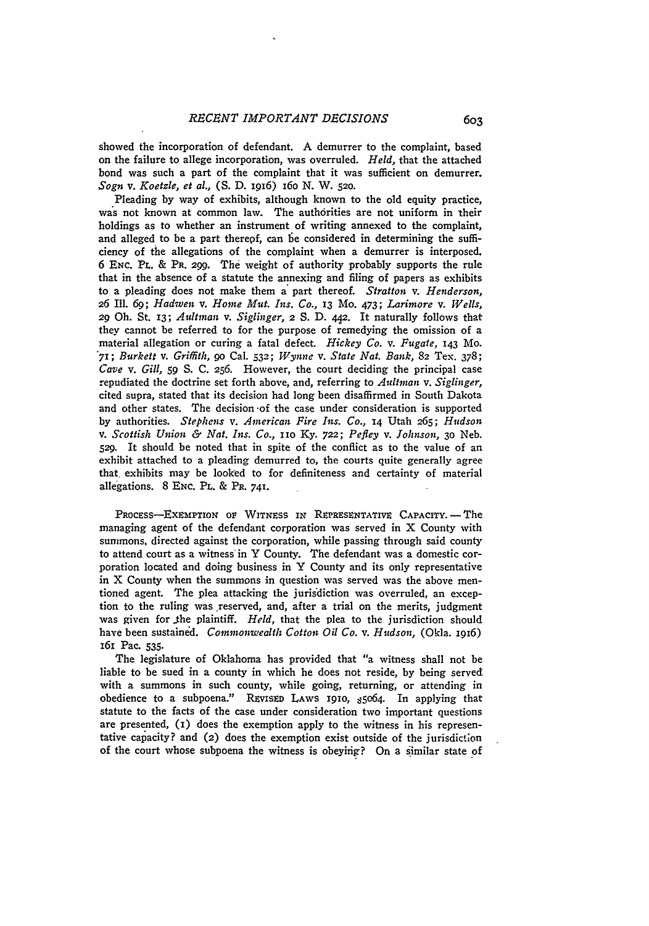showed the incorporation of defendant. A demurrer to the complaint, based on the failure to allege incorporation, was overruled. *Held,* that the attached bond was such a part of the complaint that it was sufficient on demurrer. *Sogn* v. *Koetzle, et al.,* (S. D. 1916) 160 N. W. 520.

Pleading by way of exhibits, although known to the old equity practice, was not known at common law. The authorities are not uniform in their holdings as to whether an instrument of writing annexed to the complaint, and alleged to be a part therepf, can be considered in determining the sufficiency of the allegations of the complaint when a demurrer is interposed. 6 ENc. Pr.. & PR. *299.* The weight of authority probably supports the rule that in the absence of a statute the annexing and filing of papers as exhibits to a pleading does not make them a· part thereof. *Stratton* v. *Henderson, 26* Ill. 6g; *Hadwen* v. *Home Mut. Ins. Co.,* 13 Mo. 473; *Larimore* v. *Wells, 29* Oh. St. 13; *Aultman* v. *Siglinger,* 2 S. D. 442. It naturally follows that they cannot be referred to for the purpose of remedying the omission of a material allegation or curing a fatal defect. *Hickey Co.* v. *Fugate,* 143 Mo. ·71; *Burkett* v. *Grifiitlz,* 90 Cal. 532; *Wy1111e* v. *State Nat. Bank,* 82 Tex. 378; *Cave* v. *Gill, 59* S. C. 256. However, the court deciding the principal case repudiated the doctrine set forth above, and, referring to *Aultman v. Siglinger*, cited supra, stated that its decision had long been disaffirmed in South Dakota and other states. The decision ·of the case under consideration is supported by authorities. Stephens v. American Fire Ins. Co., 14 Utah 265; Hudson v. Scottish Union & Nat. Ins. Co., 110 Ky. 722; Pefley v. Johnson, 30 Neb. 529. It should be noted that in spite of the conflict as to the value of an exhibit attached to a pleading demurred to, the courts quite generally agree that. exhibits may be looked to for definiteness and certainty of material allegations. 8 ENC. PL. & PR. 741.

PROCESS-EXEMPTION OF WITNESS IN REPRESENTATIVE CAPACITY. - The managing agent of the defendant corporation was served in X County with summons, directed against the corporation, while passing through said county to attend court as a witness in Y County. The defendant was a domestic corporation located and doing business in Y County and its only representative in X County when the summons in question was served was the above mentioned agent. The plea attacking the jurisdiction was overruled, an exception to the ruling was reserved, and, after a trial on the merits, judgment was given for the plaintiff. *Held*, that the plea to the jurisdiction should have been sustained. *Commonwealth Cotton Oil Co. v. Hudson*, (Okla. 1916) 161 Pac. 535.

The legislature of Oklahoma has provided that "a witness shall not be liable to be sued in a county in which he does not reside, by being served: with a summons in such county, while going, returning, or attending in obedience to a subpoena." REVISED LAWS 1910, 35064. In applying that statute to the facts of the case under consideration two important questions are presented,  $(i)$  does the exemption apply to the witness in his representative capacity? and (2) does the exemption exist outside of the jurisdiction of the court whose subpoena the witness is obeying? On a similar state of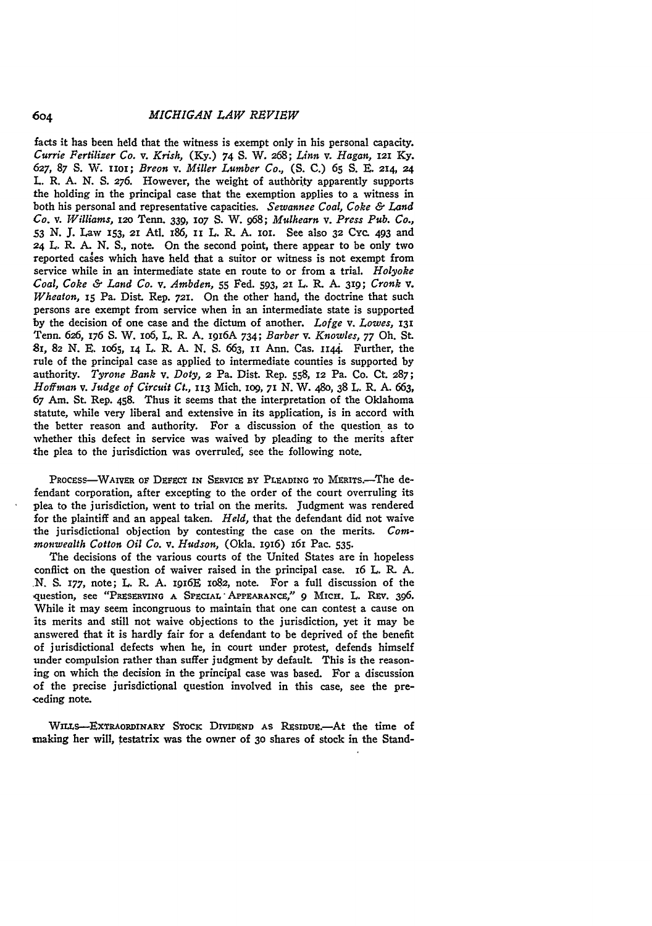facts it has been held that the witness is exempt only in his personal capacity. *Currie Fertilizer Co.* v. *Krish,* (Ky.) 74 S. W. 268; *Linn* v. *Hagan,* I2I Ky. 627, 87 S. W. IIOI; *Breon* v. *Miller Lumber Co.,* (S. C.) 6s S. E. 2I4. 24 L. R. A. N. S. 276. However, the weight of authority apparently supports the holding in the principal case that the exemption applies to a witness in both his personal and representative capacities. *Sewannee Coal, Coke* & *Land Co.* v. *Williams,* I20 Tenn. *339,* I07 S. W. g68; *Mulhearn* v. *Press Pub. Co., <sup>53</sup>*N. J. Law IS3, 2I At!. I86, II L. R. A. IOI. See also 32 CYc. 493 and  $24$  L. R. A. N. S., note. On the second point, there appear to be only two reported cases which have held that a suitor or witness is not exempt from service while in an intermediate state en route to or from a trial. *Holyoke Coal, Coke* & *Land Co.* v. *Ambden, SS* Fed. *S93,* 2I L. R A. 3I9; *Cronk* v. *Wheaton*, 15 Pa. Dist. Rep. 721. On the other hand, the doctrine that such persons are exempt from service when in an intermediate state is supported by the decision of one case and the dictum of another. *Lof ge* v. *Lowes,* I3I Tenn. 626, I76 S. W. 106, L. R A. I9I6A 734; *Barber* v. *Knowles, 77* Oh. St. 81, 82 N. E. 1065, 14 L. R. A. N. S. 663, 11 Ann. Cas. 1144. Further, the rule of the principal case as applied to intermediate counties is supported by authority. *Tyro11e Bank* v. *Doty, 2* Pa. Dist. Rep. ss8, I2 Pa. Co. Ct. 287; Hoffman v. *Judge of Circuit Ct.*, 113 Mich. 109, 71 N. W. 480, 38 L. R. A. 663, 67 Am. St. Rep. 4s8. Thus it seems that the interpretation of the Oklahoma statute, while very liberal and extensive in its application, is in accord with the better reason and authority. For a discussion of the question. as to whether this defect in service was waived by pleading to the merits after the plea to the jurisdiction was overruled, see the following note.

PROCESS-WAIVER OF DEFECT IN SERVICE BY PLEADING TO MERITS.-The defendant corporation, after excepting to the order of the court overruling its plea to the jurisdiction, went to trial on the merits. Judgment was rendered for the plaintiff and an appeal taken. *Held,* that the defendant did not waive the jurisdictional objection by contesting the case on the merits. *Commonwealth Cotton Oil Co. v. Hudson, (Okla. 1916) 161 Pac. 535.* 

The decisions of the various courts of the United States are in hopeless conflict on the question of waiver raised in the principal case. 16 L. R. A. . N. S. I77, note; L. R. A. IgI6E Io82, note. For a full discussion of the -question, see "PRESERVING A SPECIAL· APPEARANCE," *9* MICH. L. Rsv. *3g6.*  While it may seem incongruous to maintain that one can contest a cause on its merits and still not waive objections to the jurisdiction, yet it may be answered that it is hardly fair for a defendant to be deprived of the benefit of jurisdictional defects when he, in court under protest, defends himself under compulsion rather than suffer judgment by default. This is the reasoning on which the decision in the principal case was based. For a discussion of the precise jurisdictional question involved in this case, see the pre ceding note.

WILLS-EXTRAORDINARY STOCK DIVIDEND AS RESIDUE. At the time of making her will, testatrix was the owner of 30 shares of stock in the Stand-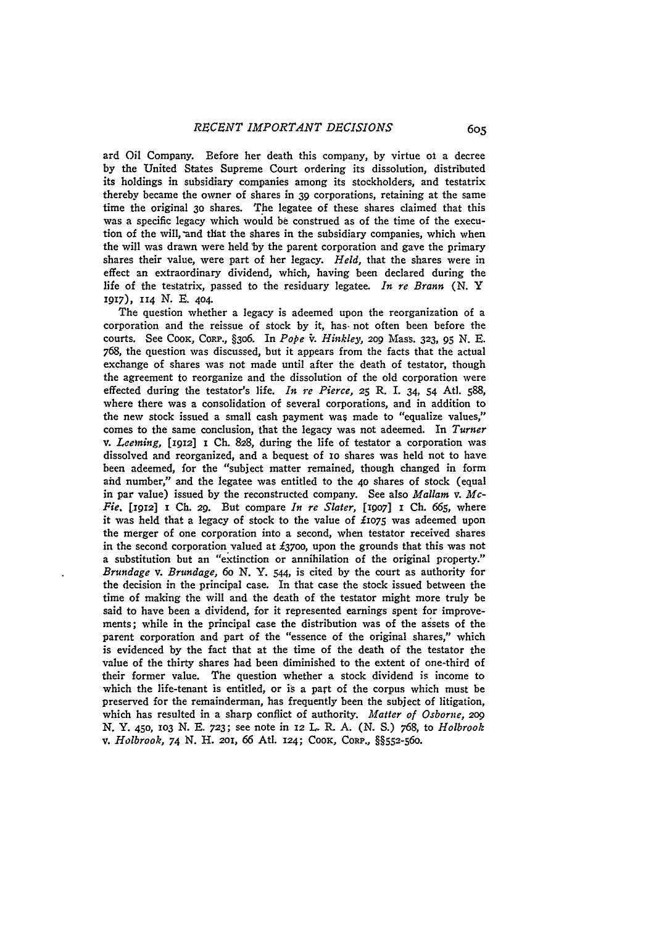ard Oil Company. Before her death this company, by virtue 01 a decree by the United States Supreme Court ordering its dissolution, distributed its holdings in subsidiary companies among its stockholders, and testatrix thereby became the owner of shares in *39* corporations, retaining at the same time the original 30 shares. The legatee of these shares claimed that this was a specific legacy which would be construed as of the time of the execution of the will, and that the shares in the subsidiary companies, which when the will was drawn were held 'by the parent corporation and gave the primary shares their value, were part of her legacy. *Held,* that the shares were in effect an extraordinary dividend, which, having been declared during the life of the testatrix, passed to the residuary legatee. *In re Brann* (N. Y 1917), II4 N. E. 404

The question whether a legacy is adeemed upon the reorganization of a corporation and the reissue of stock by it, has· not often been before the courts. See COOK, CORP., §3o6. In *Pope* v. *Hinkle3•, 209* Mass. 323, *95* N. E. 768, the question was discussed, but it appears from the facts that the actual exchange of shares was not made until after the death of testator, though the agreement to reorganize and the dissolution of the old corporation were effected during the testator's life. *In re Pierce,* 25 R. I. 34, 54 Atl. 588, where there was a consolidation of several corporations, and in addition to the new stock issued a small cash payment was made to "equalize values," comes to the same conclusion, that the legacy was not adeemed. In *Turner*  v. *Leeming,* [1912] I Ch. 828, during the life of testator a corporation was dissolved and reorganized, and a bequest of IO shares was held not to have been adeemed, for the "subject matter remained, though changed in form and number," and the legatee was entitled to the 40 shares of stock (equal in par value) issued by the reconstructed company. See also *Mallam* v. *Mc-Fie.* [.1912] I Ch. *29.* But compare *In re Slater,* [1907] I Ch. 665, where it was held that a legacy of stock to the value of £1075 was adeemed upon the merger of one corporation into a second, when testator received shares in the second corporation valued at  $\pounds$ 3700, upon the grounds that this was not a substitution but an "extinction or annihilation of the original property." *Brundage* v. *Brundage,* 6o N. Y. 544, is cited by the court as authority for the decision in the principal case. In that case the stock issued between the time of making the will and the death of the testator might more truly be said to have been a dividend, for it represented earnings spent for improvements; while in the principal case the distribution was of the assets of the parent corporation and part of the "essence of the original shares," which is evidenced by the fact that at the time of the death of the testator the value of the thirty shares had been diminished to the extent of one-third of their former value. The question whether a stock dividend is income to which the life-tenant is entitled, or is a part of the corpus which must be preserved for the remainderman, has frequently been the subject of litigation, which has resulted in a sharp conflict of authority. *Matter of Osborne, 209*  N. Y. 450, 103 N. E. 723; see note in 12 L. R. A. (N. S.) 768, to *Holbrook*  v. *Holbrook,* 74 N. H. 201, *66* At!. 124; CooK, CORP., §§552-56o.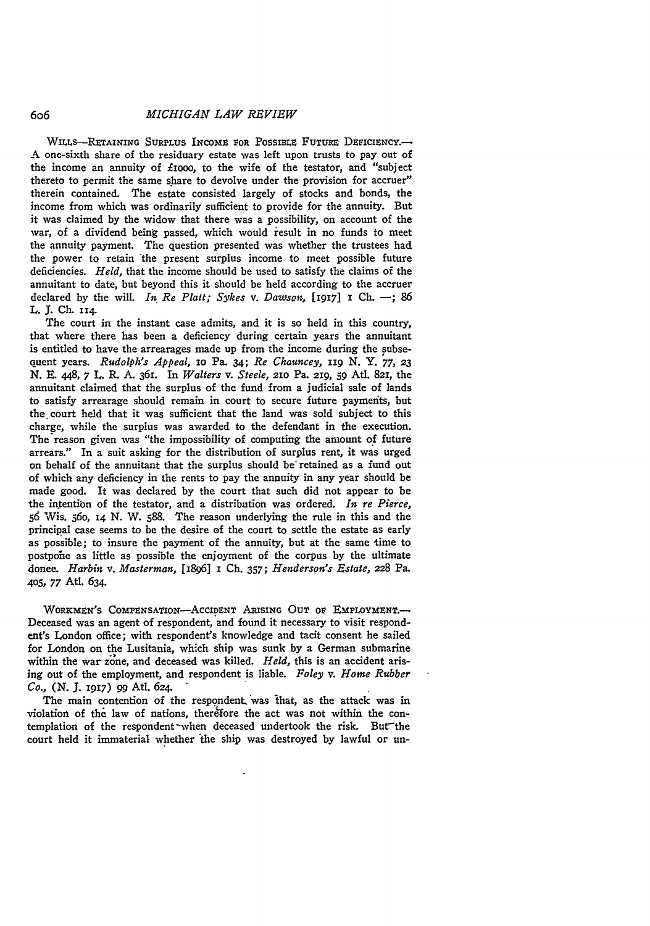WILLS-RETAINING SURPLUS INCOME FOR POSSIBLE FUTURE DEFICIENCY.-A one-sixth share of the residuary estate was left upon trusts to pay out of the income an annuity of £1000, to the wife of the testator, and "subject thereto to permit the same share to devolve under the provision for accruer" therein contained. The estate consisted largely of stocks and bonds, the income from which was ordinarily sufficient to provide for the annuity. But it was claimed by the widow that there was a possibility, on account of the war, of a dividend being passed, which would result in no funds to meet the annuity payment. The question presented was whether the trustees had the power to retain "the present surplus income to meet possible future deficiencies. *Held,* that the income should be used to satisfy the claims *oi* the annuitant to date, but beyond this it should be held according to the accruer declared by the will. *In Re Platt; Sykes v. Dawson*, [1917] I Ch. -; 86 L. J. Ch. 114.

The court in the instant case admits, and it is so held in this country, that where there has been a deficiency during certain years the annuitant is entitled to have the arrearages made up from the income during the subsequent years. *Rudolph's Appeal,* IO Pa. 34; *Re Chauncey,* II9 N. Y. *77,* 23 N. E. 448, *7* L. R. A. 361. In *Walters* v. *Steele,* 210 Pa. 219, 59 At!. 821, the annuitant claimed that the surplus of the fund from a judicial sale of lands to satisfy arrearage should remain in court to secure future payments, but the. court held that it was sufficient that the land was sold subject to this charge, while the surplus was awarded to the defendant in the execution. The reason given was "the impossibility of computing the amount of future arrears." In a suit asking for the distribution of surplus rent, it was urged on behalf of the annuitant that the surplus should be' retained as a fund out of which any· deficiency in the rents to pay the annuity in any year should be made good. It was declared by the court that such did not appear to be the intention of the testator, and a distribution was ordered. In re Pierce, 56 Wis. 560, 14 N. W. 588. The reason underlying the rule in this and the principal case seems to be the desire of the court to settle the estate as early as possible; to insure the payment of the annuity, but at the same time to postpone as little as possible the enjoyment of the corpus by the ultimate donee. *Harbin v. Masterman,* [1896] I Ch. 357; *Henderson's Estate, 228 Pa.* 405, 77 At!. 634.

WORKMEN'S COMPENSATION-ACCIDENT ARISING OUT OF EMPLOYMENT. Deceased was an agent of respondent, and found it necessary to visit respondent's London office; with respondent's knowledge and tacit consent he sailed for London on the Lusitania, which ship was sunk by a German submarine within the war zone, and deceased was killed. *Held*, this is an accident arising out of the employment, and respondent is liable. *Foley* v. *Home Rubber Co.,* (N. J. 1917) 99 Atl. 624.

The main contention of the respondent was that, as the attack was in violation of the law of nations, therefore the act was not within the contemplation of the respondent when deceased undertook the risk. But the court held it immaterial whether the ship was destroyed by lawful or un-